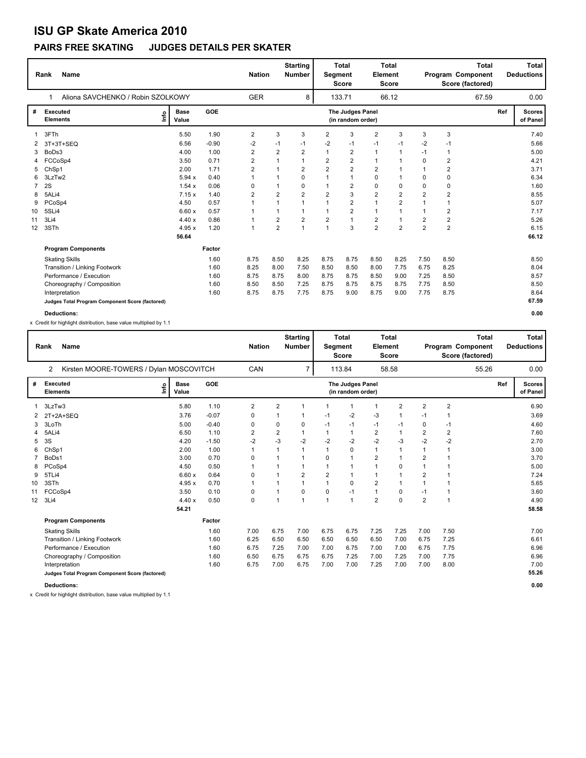### **PAIRS FREE SKATING JUDGES DETAILS PER SKATER**

|    | <b>Name</b><br>Rank                             |                      |         | <b>Nation</b>  |                | <b>Starting</b><br><b>Number</b> |                | <b>Total</b><br><b>Total</b><br>Element<br>Segment<br><b>Score</b><br><b>Score</b> |                |                | <b>Total</b><br>Program Component<br>Score (factored) |                |     | <b>Total</b><br><b>Deductions</b> |
|----|-------------------------------------------------|----------------------|---------|----------------|----------------|----------------------------------|----------------|------------------------------------------------------------------------------------|----------------|----------------|-------------------------------------------------------|----------------|-----|-----------------------------------|
|    | Aliona SAVCHENKO / Robin SZOLKOWY               |                      |         | <b>GER</b>     |                | 8                                |                | 133.71                                                                             |                | 66.12          |                                                       | 67.59          |     | 0.00                              |
| #  | <b>Executed</b><br>١mfo<br><b>Elements</b>      | <b>Base</b><br>Value | GOE     |                |                |                                  |                | The Judges Panel<br>(in random order)                                              |                |                |                                                       |                | Ref | <b>Scores</b><br>of Panel         |
|    | 3FTh                                            | 5.50                 | 1.90    | 2              | 3              | 3                                | $\overline{2}$ | 3                                                                                  | $\overline{2}$ | 3              | 3                                                     | 3              |     | 7.40                              |
| 2  | 3T+3T+SEQ                                       | 6.56                 | $-0.90$ | $-2$           | $-1$           | $-1$                             | -2             | $-1$                                                                               | $-1$           | $-1$           | $-2$                                                  | $-1$           |     | 5.66                              |
| 3  | BoDs3                                           | 4.00                 | 1.00    | 2              | $\overline{2}$ | 2                                | $\mathbf{1}$   | $\overline{2}$                                                                     | $\mathbf{1}$   | 1              | $-1$                                                  | $\mathbf 1$    |     | 5.00                              |
|    | 4 FCCoSp4                                       | 3.50                 | 0.71    | $\overline{2}$ | 1              | $\mathbf 1$                      | $\overline{2}$ | $\overline{2}$                                                                     | $\mathbf{1}$   | 1              | 0                                                     | $\overline{2}$ |     | 4.21                              |
|    | ChSp1                                           | 2.00                 | 1.71    | 2              |                | 2                                | $\overline{2}$ | $\overline{2}$                                                                     | $\overline{2}$ |                |                                                       | $\overline{2}$ |     | 3.71                              |
| 6  | 3LzTw2                                          | 5.94x                | 0.40    | 1              |                | $\Omega$                         | $\mathbf{1}$   | $\mathbf{1}$                                                                       | $\Omega$       | 1              | $\Omega$                                              | 0              |     | 6.34                              |
|    | 2S                                              | 1.54x                | 0.06    | 0              |                | 0                                | $\mathbf{1}$   | $\overline{2}$                                                                     | $\mathbf 0$    | 0              | $\mathbf 0$                                           | 0              |     | 1.60                              |
| 8  | 5ALi4                                           | 7.15x                | 1.40    | 2              | $\overline{2}$ | $\overline{2}$                   | $\overline{2}$ | 3                                                                                  | $\overline{2}$ | $\overline{2}$ | $\overline{2}$                                        | $\overline{2}$ |     | 8.55                              |
| 9  | PCoSp4                                          | 4.50                 | 0.57    | 1              | $\mathbf{1}$   | $\mathbf{1}$                     | $\mathbf{1}$   | $\overline{2}$                                                                     | $\mathbf{1}$   | $\overline{2}$ | 1                                                     | $\overline{1}$ |     | 5.07                              |
| 10 | 5SLi4                                           | 6.60x                | 0.57    | 1              | 1              | 1                                | $\mathbf{1}$   | $\overline{2}$                                                                     | $\overline{1}$ | 1              | 1                                                     | $\overline{2}$ |     | 7.17                              |
| 11 | 3Li4                                            | 4.40x                | 0.86    | 1              | 2              | $\overline{2}$                   | $\overline{2}$ | $\mathbf{1}$                                                                       | $\overline{2}$ | 1              | $\overline{2}$                                        | $\overline{2}$ |     | 5.26                              |
| 12 | 3STh                                            | 4.95x                | 1.20    | 1              | $\overline{2}$ | $\overline{1}$                   | $\mathbf{1}$   | 3                                                                                  | $\overline{2}$ | $\overline{2}$ | $\overline{2}$                                        | $\overline{2}$ |     | 6.15                              |
|    |                                                 | 56.64                |         |                |                |                                  |                |                                                                                    |                |                |                                                       |                |     | 66.12                             |
|    | <b>Program Components</b>                       |                      | Factor  |                |                |                                  |                |                                                                                    |                |                |                                                       |                |     |                                   |
|    | <b>Skating Skills</b>                           |                      | 1.60    | 8.75           | 8.50           | 8.25                             | 8.75           | 8.75                                                                               | 8.50           | 8.25           | 7.50                                                  | 8.50           |     | 8.50                              |
|    | Transition / Linking Footwork                   |                      | 1.60    | 8.25           | 8.00           | 7.50                             | 8.50           | 8.50                                                                               | 8.00           | 7.75           | 6.75                                                  | 8.25           |     | 8.04                              |
|    | Performance / Execution                         |                      | 1.60    | 8.75           | 8.75           | 8.00                             | 8.75           | 8.75                                                                               | 8.50           | 9.00           | 7.25                                                  | 8.50           |     | 8.57                              |
|    | Choreography / Composition                      |                      | 1.60    | 8.50           | 8.50           | 7.25                             | 8.75           | 8.75                                                                               | 8.75           | 8.75           | 7.75                                                  | 8.50           |     | 8.50                              |
|    | Interpretation                                  |                      | 1.60    | 8.75           | 8.75           | 7.75                             | 8.75           | 9.00                                                                               | 8.75           | 9.00           | 7.75                                                  | 8.75           |     | 8.64                              |
|    | Judges Total Program Component Score (factored) |                      |         |                |                |                                  |                |                                                                                    |                |                |                                                       |                |     | 67.59                             |
|    | <b>Deductions:</b>                              |                      |         |                |                |                                  |                |                                                                                    |                |                |                                                       |                |     | 0.00                              |

x Credit for highlight distribution, base value multiplied by 1.1

|    | <b>Name</b><br>Rank                                              |                      |            | <b>Nation</b>  |                | <b>Starting</b><br><b>Number</b> | <b>Total</b><br>Segment<br><b>Score</b> |                                       | <b>Element</b>          | <b>Total</b><br><b>Score</b> |                |                | <b>Total</b><br>Program Component<br>Score (factored) |     | Total<br><b>Deductions</b> |
|----|------------------------------------------------------------------|----------------------|------------|----------------|----------------|----------------------------------|-----------------------------------------|---------------------------------------|-------------------------|------------------------------|----------------|----------------|-------------------------------------------------------|-----|----------------------------|
|    | Kirsten MOORE-TOWERS / Dylan MOSCOVITCH<br>$\mathbf{2}^{\prime}$ |                      |            | CAN            |                | $\overline{7}$                   |                                         | 113.84                                |                         | 58.58                        |                |                | 55.26                                                 |     | 0.00                       |
| #  | <b>Executed</b><br>lnfo<br><b>Elements</b>                       | <b>Base</b><br>Value | <b>GOE</b> |                |                |                                  |                                         | The Judges Panel<br>(in random order) |                         |                              |                |                |                                                       | Ref | <b>Scores</b><br>of Panel  |
| 1  | 3LzTw3                                                           | 5.80                 | 1.10       | $\overline{2}$ | $\overline{2}$ |                                  |                                         | 1                                     | 1                       | $\overline{2}$               | $\overline{2}$ | $\overline{2}$ |                                                       |     | 6.90                       |
|    | $2T+2A+SEQ$                                                      | 3.76                 | $-0.07$    | 0              |                |                                  | $-1$                                    | $-2$                                  | $-3$                    | 1                            | $-1$           | 1              |                                                       |     | 3.69                       |
| 3  | 3LoTh                                                            | 5.00                 | $-0.40$    | 0              | 0              | 0                                | $-1$                                    | $-1$                                  | $-1$                    | $-1$                         | 0              | $-1$           |                                                       |     | 4.60                       |
|    | 5ALi4                                                            | 6.50                 | 1.10       | $\overline{2}$ | 2              |                                  | 1                                       | $\mathbf{1}$                          | $\overline{\mathbf{c}}$ |                              | 2              | 2              |                                                       |     | 7.60                       |
| 5  | 3S                                                               | 4.20                 | $-1.50$    | $-2$           | $-3$           | $-2$                             | $-2$                                    | $-2$                                  | $-2$                    | $-3$                         | $-2$           | $-2$           |                                                       |     | 2.70                       |
| 6  | ChSp1                                                            | 2.00                 | 1.00       | $\mathbf{1}$   | 1              |                                  | 1                                       | 0                                     | 1                       | 1                            | 1              | 1              |                                                       |     | 3.00                       |
|    | BoDs1                                                            | 3.00                 | 0.70       | 0              | $\mathbf 1$    |                                  | 0                                       | 1                                     | $\overline{2}$          | 1                            | $\overline{2}$ | 1              |                                                       |     | 3.70                       |
| 8  | PCoSp4                                                           | 4.50                 | 0.50       | $\mathbf 1$    | $\mathbf 1$    |                                  | 1                                       | $\mathbf{1}$                          | 1                       | 0                            | $\mathbf{1}$   | 1              |                                                       |     | 5.00                       |
| 9  | 5TLi4                                                            | 6.60x                | 0.64       | 0              | $\mathbf 1$    | $\overline{2}$                   | $\overline{2}$                          | $\mathbf{1}$                          | 1                       | 1                            | $\overline{2}$ | 1              |                                                       |     | 7.24                       |
| 10 | 3STh                                                             | 4.95x                | 0.70       | $\mathbf 1$    |                |                                  | 1                                       | 0                                     | $\overline{2}$          | 1                            | 1              | 1              |                                                       |     | 5.65                       |
| 11 | FCCoSp4                                                          | 3.50                 | 0.10       | $\mathbf 0$    |                | 0                                | 0                                       | $-1$                                  | 1                       | 0                            | $-1$           | 1              |                                                       |     | 3.60                       |
| 12 | 3Li4                                                             | 4.40x                | 0.50       | 0              | 1              | $\overline{1}$                   | 1                                       | $\overline{1}$                        | $\overline{2}$          | $\Omega$                     | $\overline{2}$ | 1              |                                                       |     | 4.90                       |
|    |                                                                  | 54.21                |            |                |                |                                  |                                         |                                       |                         |                              |                |                |                                                       |     | 58.58                      |
|    | <b>Program Components</b>                                        |                      | Factor     |                |                |                                  |                                         |                                       |                         |                              |                |                |                                                       |     |                            |
|    | <b>Skating Skills</b>                                            |                      | 1.60       | 7.00           | 6.75           | 7.00                             | 6.75                                    | 6.75                                  | 7.25                    | 7.25                         | 7.00           | 7.50           |                                                       |     | 7.00                       |
|    | Transition / Linking Footwork                                    |                      | 1.60       | 6.25           | 6.50           | 6.50                             | 6.50                                    | 6.50                                  | 6.50                    | 7.00                         | 6.75           | 7.25           |                                                       |     | 6.61                       |
|    | Performance / Execution                                          |                      | 1.60       | 6.75           | 7.25           | 7.00                             | 7.00                                    | 6.75                                  | 7.00                    | 7.00                         | 6.75           | 7.75           |                                                       |     | 6.96                       |
|    | Choreography / Composition                                       |                      | 1.60       | 6.50           | 6.75           | 6.75                             | 6.75                                    | 7.25                                  | 7.00                    | 7.25                         | 7.00           | 7.75           |                                                       |     | 6.96                       |
|    | Interpretation                                                   |                      | 1.60       | 6.75           | 7.00           | 6.75                             | 7.00                                    | 7.00                                  | 7.25                    | 7.00                         | 7.00           | 8.00           |                                                       |     | 7.00                       |
|    | Judges Total Program Component Score (factored)                  |                      |            |                |                |                                  |                                         |                                       |                         |                              |                |                |                                                       |     | 55.26                      |
|    | <b>Deductions:</b>                                               |                      |            |                |                |                                  |                                         |                                       |                         |                              |                |                |                                                       |     | 0.00                       |

x Credit for highlight distribution, base value multiplied by 1.1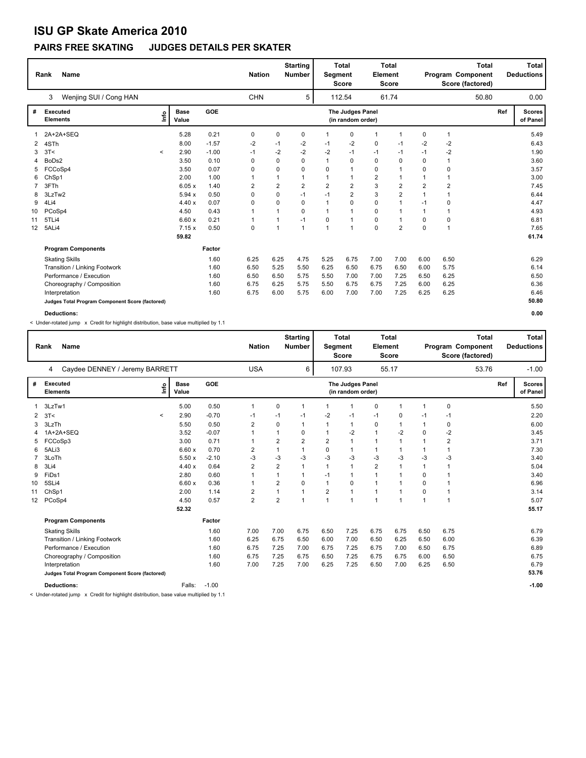### **PAIRS FREE SKATING JUDGES DETAILS PER SKATER**

|                   | Name<br>Rank                                    |              |                      | <b>Nation</b> |            |             | <b>Starting</b><br><b>Number</b> |                | <b>Total</b><br>Segment<br><b>Score</b> |                | <b>Total</b><br>Element<br><b>Score</b> | <b>Total</b><br>Program Component<br>Score (factored) |                |     | <b>Total</b><br><b>Deductions</b> |
|-------------------|-------------------------------------------------|--------------|----------------------|---------------|------------|-------------|----------------------------------|----------------|-----------------------------------------|----------------|-----------------------------------------|-------------------------------------------------------|----------------|-----|-----------------------------------|
|                   | Wenjing SUI / Cong HAN<br>3                     |              |                      |               | <b>CHN</b> |             | 5                                |                | 112.54                                  |                | 61.74                                   |                                                       | 50.80          |     | 0.00                              |
| #                 | <b>Executed</b><br><b>Elements</b>              | ١mfo         | <b>Base</b><br>Value | GOE           |            |             |                                  |                | The Judges Panel<br>(in random order)   |                |                                         |                                                       |                | Ref | <b>Scores</b><br>of Panel         |
|                   | 2A+2A+SEQ                                       |              | 5.28                 | 0.21          | 0          | 0           | 0                                | $\mathbf{1}$   | 0                                       | $\mathbf{1}$   | -1                                      | 0                                                     | $\mathbf{1}$   |     | 5.49                              |
| 2                 | 4STh                                            |              | 8.00                 | $-1.57$       | $-2$       | $-1$        | $-2$                             | $-1$           | -2                                      | 0              | $-1$                                    | $-2$                                                  | -2             |     | 6.43                              |
| 3                 | 3T<                                             | $\checkmark$ | 2.90                 | $-1.00$       | $-1$       | $-2$        | $-2$                             | $-2$           | $-1$                                    | $-1$           | $-1$                                    | $-1$                                                  | $-2$           |     | 1.90                              |
| 4                 | BoDs2                                           |              | 3.50                 | 0.10          | 0          | 0           | $\Omega$                         | $\mathbf{1}$   | 0                                       | 0              | 0                                       | $\Omega$                                              | $\mathbf{1}$   |     | 3.60                              |
| 5                 | FCCoSp4                                         |              | 3.50                 | 0.07          | 0          | 0           | $\Omega$                         | $\Omega$       | $\mathbf{1}$                            | 0              | -1                                      | $\mathbf 0$                                           | 0              |     | 3.57                              |
| 6                 | ChSp1                                           |              | 2.00                 | 1.00          | 1          |             | 1                                | $\mathbf{1}$   | $\mathbf{1}$                            | $\overline{2}$ | 1                                       |                                                       | 1              |     | 3.00                              |
|                   | 3FTh                                            |              | 6.05x                | 1.40          | 2          | 2           | 2                                | $\overline{2}$ | $\overline{2}$                          | 3              | $\overline{2}$                          | $\overline{2}$                                        | $\overline{2}$ |     | 7.45                              |
|                   | 3LzTw2                                          |              | 5.94 x               | 0.50          | 0          | $\mathbf 0$ | $-1$                             | $-1$           | $\overline{2}$                          | 3              | $\overline{\mathbf{c}}$                 | 1                                                     | 1              |     | 6.44                              |
| 9                 | 4Li4                                            |              | 4.40x                | 0.07          | 0          | $\Omega$    | $\Omega$                         | $\overline{1}$ | 0                                       | $\mathbf 0$    | 1                                       | $-1$                                                  | 0              |     | 4.47                              |
| 10                | PCoSp4                                          |              | 4.50                 | 0.43          | 1          |             | $\Omega$                         | -1             | $\mathbf{1}$                            | 0              | 1                                       | 1                                                     | 1              |     | 4.93                              |
| 11                | 5TLi4                                           |              | 6.60x                | 0.21          | 1          |             | $-1$                             | $\Omega$       | $\mathbf{1}$                            | $\mathbf 0$    | 1                                       | 0                                                     | 0              |     | 6.81                              |
| $12 \overline{ }$ | 5ALi4                                           |              | 7.15x                | 0.50          | 0          | 1           | $\mathbf{1}$                     | $\mathbf{1}$   | $\mathbf{1}$                            | $\mathbf 0$    | $\overline{2}$                          | $\mathbf 0$                                           | $\overline{1}$ |     | 7.65                              |
|                   |                                                 |              | 59.82                |               |            |             |                                  |                |                                         |                |                                         |                                                       |                |     | 61.74                             |
|                   | <b>Program Components</b>                       |              |                      | Factor        |            |             |                                  |                |                                         |                |                                         |                                                       |                |     |                                   |
|                   | <b>Skating Skills</b>                           |              |                      | 1.60          | 6.25       | 6.25        | 4.75                             | 5.25           | 6.75                                    | 7.00           | 7.00                                    | 6.00                                                  | 6.50           |     | 6.29                              |
|                   | Transition / Linking Footwork                   |              |                      | 1.60          | 6.50       | 5.25        | 5.50                             | 6.25           | 6.50                                    | 6.75           | 6.50                                    | 6.00                                                  | 5.75           |     | 6.14                              |
|                   | Performance / Execution                         |              |                      | 1.60          | 6.50       | 6.50        | 5.75                             | 5.50           | 7.00                                    | 7.00           | 7.25                                    | 6.50                                                  | 6.25           |     | 6.50                              |
|                   | Choreography / Composition                      |              |                      | 1.60          | 6.75       | 6.25        | 5.75                             | 5.50           | 6.75                                    | 6.75           | 7.25                                    | 6.00                                                  | 6.25           |     | 6.36                              |
|                   | Interpretation                                  |              |                      | 1.60          | 6.75       | 6.00        | 5.75                             | 6.00           | 7.00                                    | 7.00           | 7.25                                    | 6.25                                                  | 6.25           |     | 6.46                              |
|                   | Judges Total Program Component Score (factored) |              |                      |               |            |             |                                  |                |                                         |                |                                         |                                                       |                |     | 50.80                             |
|                   | <b>Deductions:</b>                              |              |                      |               |            |             |                                  |                |                                         |                |                                         |                                                       |                |     | 0.00                              |

< Under-rotated jump x Credit for highlight distribution, base value multiplied by 1.1

|                  | <b>Name</b><br>Rank                              |      |                      |         |                | <b>Starting</b><br><b>Nation</b><br><b>Number</b> |                |                | <b>Total</b><br><b>Segment</b><br><b>Score</b> | <b>Total</b><br><b>Element</b><br>Score |              | <b>Total</b><br>Program Component<br>Score (factored) |      |       |     | <b>Total</b><br><b>Deductions</b> |
|------------------|--------------------------------------------------|------|----------------------|---------|----------------|---------------------------------------------------|----------------|----------------|------------------------------------------------|-----------------------------------------|--------------|-------------------------------------------------------|------|-------|-----|-----------------------------------|
|                  | Caydee DENNEY / Jeremy BARRETT<br>$\overline{4}$ |      |                      |         | <b>USA</b>     |                                                   | 6              |                | 107.93                                         |                                         | 55.17        |                                                       |      | 53.76 |     | $-1.00$                           |
| #                | Executed<br><b>Elements</b>                      | ١nf٥ | <b>Base</b><br>Value | GOE     |                |                                                   |                |                | The Judges Panel<br>(in random order)          |                                         |              |                                                       |      |       | Ref | <b>Scores</b><br>of Panel         |
|                  | 3LzTw1                                           |      | 5.00                 | 0.50    | 1              | 0                                                 | 1              | 1              | 1                                              | 0                                       | $\mathbf{1}$ | 1                                                     | 0    |       |     | 5.50                              |
| $\overline{2}$   | 3T<<br>$\hat{}$                                  |      | 2.90                 | $-0.70$ | $-1$           | $-1$                                              | $-1$           | $-2$           | $-1$                                           | $-1$                                    | 0            | -1                                                    | $-1$ |       |     | 2.20                              |
| 3                | 3LzTh                                            |      | 5.50                 | 0.50    | $\overline{2}$ | $\Omega$                                          | 1              | 1              | $\mathbf{1}$                                   | 0                                       | 1            | 1                                                     | 0    |       |     | 6.00                              |
|                  | 1A+2A+SEQ                                        |      | 3.52                 | $-0.07$ | 1              |                                                   | 0              | 1              | $-2$                                           | $\mathbf{1}$                            | $-2$         | 0                                                     | $-2$ |       |     | 3.45                              |
|                  | FCCoSp3                                          |      | 3.00                 | 0.71    | 1              | $\overline{2}$                                    | $\overline{2}$ | $\overline{2}$ | $\mathbf{1}$                                   | 1                                       | $\mathbf{1}$ | 1                                                     | 2    |       |     | 3.71                              |
| 6                | 5ALi3                                            |      | 6.60x                | 0.70    | 2              |                                                   | 1              | 0              | 1                                              | 1                                       | 1            | 1                                                     | 1    |       |     | 7.30                              |
|                  | 3LoTh                                            |      | 5.50x                | $-2.10$ | $-3$           | $-3$                                              | $-3$           | $-3$           | $-3$                                           | $-3$                                    | $-3$         | $-3$                                                  | $-3$ |       |     | 3.40                              |
| 8                | 3Li4                                             |      | 4.40x                | 0.64    | $\overline{2}$ | $\overline{2}$                                    | -1             | 1              | 1                                              | $\overline{2}$                          | 1            | 1                                                     | 1    |       |     | 5.04                              |
| 9                | FiDs1                                            |      | 2.80                 | 0.60    | 1              |                                                   | 1              | $-1$           | 1                                              | 1                                       | $\mathbf 1$  | 0                                                     |      |       |     | 3.40                              |
| 10               | 5SLi4                                            |      | 6.60x                | 0.36    | 1              | $\overline{2}$                                    | $\Omega$       | $\mathbf{1}$   | 0                                              | 1                                       | $\mathbf 1$  | 0                                                     | 1    |       |     | 6.96                              |
| 11               | ChSp1                                            |      | 2.00                 | 1.14    | $\overline{2}$ | 1                                                 | 1              | $\overline{2}$ | $\mathbf{1}$                                   | $\mathbf{1}$                            | 1            | 0                                                     | 1    |       |     | 3.14                              |
| 12 <sup>12</sup> | PCoSp4                                           |      | 4.50                 | 0.57    | $\overline{2}$ | $\overline{2}$                                    | $\overline{1}$ | $\mathbf{1}$   | $\mathbf{1}$                                   | $\mathbf{1}$                            | $\mathbf{1}$ | $\mathbf{1}$                                          | 1    |       |     | 5.07                              |
|                  |                                                  |      | 52.32                |         |                |                                                   |                |                |                                                |                                         |              |                                                       |      |       |     | 55.17                             |
|                  | <b>Program Components</b>                        |      |                      | Factor  |                |                                                   |                |                |                                                |                                         |              |                                                       |      |       |     |                                   |
|                  | <b>Skating Skills</b>                            |      |                      | 1.60    | 7.00           | 7.00                                              | 6.75           | 6.50           | 7.25                                           | 6.75                                    | 6.75         | 6.50                                                  | 6.75 |       |     | 6.79                              |
|                  | Transition / Linking Footwork                    |      |                      | 1.60    | 6.25           | 6.75                                              | 6.50           | 6.00           | 7.00                                           | 6.50                                    | 6.25         | 6.50                                                  | 6.00 |       |     | 6.39                              |
|                  | Performance / Execution                          |      |                      | 1.60    | 6.75           | 7.25                                              | 7.00           | 6.75           | 7.25                                           | 6.75                                    | 7.00         | 6.50                                                  | 6.75 |       |     | 6.89                              |
|                  | Choreography / Composition                       |      |                      | 1.60    | 6.75           | 7.25                                              | 6.75           | 6.50           | 7.25                                           | 6.75                                    | 6.75         | 6.00                                                  | 6.50 |       |     | 6.75                              |
|                  | Interpretation                                   |      |                      | 1.60    | 7.00           | 7.25                                              | 7.00           | 6.25           | 7.25                                           | 6.50                                    | 7.00         | 6.25                                                  | 6.50 |       |     | 6.79                              |
|                  | Judges Total Program Component Score (factored)  |      |                      |         |                |                                                   |                |                |                                                |                                         |              |                                                       |      |       |     | 53.76                             |
|                  | <b>Deductions:</b>                               |      | Falls:               | $-1.00$ |                |                                                   |                |                |                                                |                                         |              |                                                       |      |       |     | $-1.00$                           |

< Under-rotated jump x Credit for highlight distribution, base value multiplied by 1.1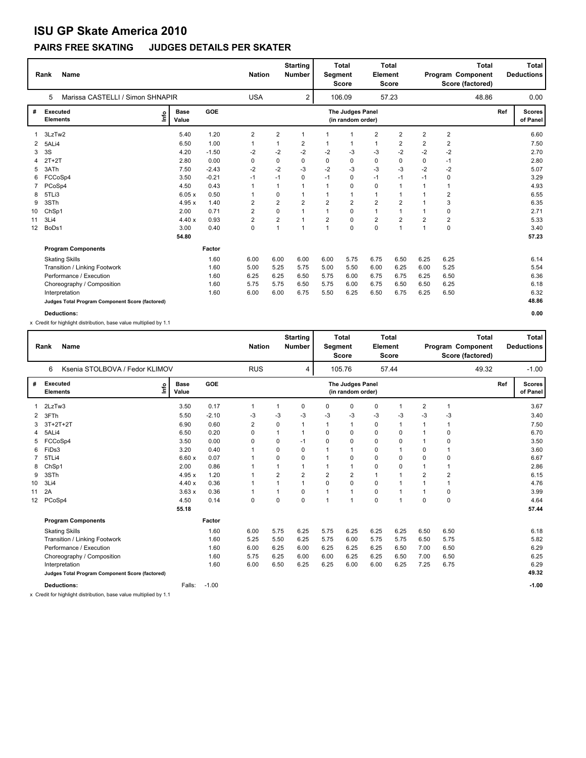### **PAIRS FREE SKATING JUDGES DETAILS PER SKATER**

|    | <b>Name</b><br>Rank                             |                      |         |                         | <b>Starting</b><br><b>Nation</b><br><b>Number</b> |                | <b>Total</b><br><b>Total</b><br>Element<br>Segment<br><b>Score</b><br><b>Score</b> |                                       |                | <b>Total</b><br>Program Component<br>Score (factored) |                |                | <b>Total</b><br><b>Deductions</b> |                           |
|----|-------------------------------------------------|----------------------|---------|-------------------------|---------------------------------------------------|----------------|------------------------------------------------------------------------------------|---------------------------------------|----------------|-------------------------------------------------------|----------------|----------------|-----------------------------------|---------------------------|
|    | Marissa CASTELLI / Simon SHNAPIR<br>5           |                      |         | <b>USA</b>              |                                                   | $\overline{2}$ |                                                                                    | 106.09                                |                | 57.23                                                 |                | 48.86          |                                   | 0.00                      |
| #  | <b>Executed</b><br>١mfo<br><b>Elements</b>      | <b>Base</b><br>Value | GOE     |                         |                                                   |                |                                                                                    | The Judges Panel<br>(in random order) |                |                                                       |                |                | Ref                               | <b>Scores</b><br>of Panel |
|    | 3LzTw2                                          | 5.40                 | 1.20    | 2                       | $\overline{2}$                                    | $\mathbf{1}$   |                                                                                    | $\overline{1}$                        | $\overline{2}$ | $\overline{2}$                                        | $\overline{2}$ | $\overline{2}$ |                                   | 6.60                      |
| 2  | 5ALi4                                           | 6.50                 | 1.00    | 1                       |                                                   | 2              |                                                                                    | $\overline{1}$                        | $\mathbf{1}$   | 2                                                     | $\overline{2}$ | 2              |                                   | 7.50                      |
| 3  | 3S                                              | 4.20                 | $-1.50$ | $-2$                    | $-2$                                              | $-2$           | $-2$                                                                               | -3                                    | -3             | $-2$                                                  | $-2$           | $-2$           |                                   | 2.70                      |
|    | $2T+2T$                                         | 2.80                 | 0.00    | 0                       | 0                                                 | 0              | $\Omega$                                                                           | 0                                     | 0              | 0                                                     | 0              | $-1$           |                                   | 2.80                      |
| 5  | 3ATh                                            | 7.50                 | $-2.43$ | $-2$                    | $-2$                                              | $-3$           | $-2$                                                                               | $-3$                                  | $-3$           | $-3$                                                  | $-2$           | $-2$           |                                   | 5.07                      |
| 6  | FCCoSp4                                         | 3.50                 | $-0.21$ | $-1$                    | $-1$                                              | 0              | $-1$                                                                               | $\mathbf 0$                           | $-1$           | $-1$                                                  | $-1$           | 0              |                                   | 3.29                      |
|    | PCoSp4                                          | 4.50                 | 0.43    | 1                       |                                                   |                | $\mathbf{1}$                                                                       | 0                                     | 0              | 1                                                     |                | 1              |                                   | 4.93                      |
| 8  | 5TLi3                                           | 6.05x                | 0.50    | 1                       | 0                                                 |                |                                                                                    | $\mathbf{1}$                          | $\mathbf{1}$   | 1                                                     |                | $\overline{2}$ |                                   | 6.55                      |
| 9  | 3STh                                            | 4.95 x               | 1.40    | 2                       | $\overline{2}$                                    | $\overline{2}$ | $\overline{2}$                                                                     | $\overline{2}$                        | $\overline{2}$ | $\overline{\mathbf{c}}$                               |                | 3              |                                   | 6.35                      |
| 10 | ChSp1                                           | 2.00                 | 0.71    | $\overline{\mathbf{c}}$ | $\Omega$                                          | $\mathbf{1}$   | $\overline{1}$                                                                     | $\mathbf 0$                           | $\mathbf{1}$   | 1                                                     |                | 0              |                                   | 2.71                      |
| 11 | 3Li4                                            | 4.40x                | 0.93    | $\overline{\mathbf{c}}$ | 2                                                 | 1              | $\overline{2}$                                                                     | $\mathbf 0$                           | $\overline{2}$ | $\overline{\mathbf{c}}$                               | $\overline{2}$ | 2              |                                   | 5.33                      |
| 12 | BoDs1                                           | 3.00                 | 0.40    | 0                       | 1                                                 | 1              | $\mathbf{1}$                                                                       | $\mathbf 0$                           | $\mathbf 0$    | 1                                                     | $\mathbf 1$    | $\mathbf 0$    |                                   | 3.40                      |
|    |                                                 | 54.80                |         |                         |                                                   |                |                                                                                    |                                       |                |                                                       |                |                |                                   | 57.23                     |
|    | <b>Program Components</b>                       |                      | Factor  |                         |                                                   |                |                                                                                    |                                       |                |                                                       |                |                |                                   |                           |
|    | <b>Skating Skills</b>                           |                      | 1.60    | 6.00                    | 6.00                                              | 6.00           | 6.00                                                                               | 5.75                                  | 6.75           | 6.50                                                  | 6.25           | 6.25           |                                   | 6.14                      |
|    | Transition / Linking Footwork                   |                      | 1.60    | 5.00                    | 5.25                                              | 5.75           | 5.00                                                                               | 5.50                                  | 6.00           | 6.25                                                  | 6.00           | 5.25           |                                   | 5.54                      |
|    | Performance / Execution                         |                      | 1.60    | 6.25                    | 6.25                                              | 6.50           | 5.75                                                                               | 6.00                                  | 6.75           | 6.75                                                  | 6.25           | 6.50           |                                   | 6.36                      |
|    | Choreography / Composition                      |                      | 1.60    | 5.75                    | 5.75                                              | 6.50           | 5.75                                                                               | 6.00                                  | 6.75           | 6.50                                                  | 6.50           | 6.25           |                                   | 6.18                      |
|    | Interpretation                                  |                      | 1.60    | 6.00                    | 6.00                                              | 6.75           | 5.50                                                                               | 6.25                                  | 6.50           | 6.75                                                  | 6.25           | 6.50           |                                   | 6.32                      |
|    | Judges Total Program Component Score (factored) |                      |         |                         |                                                   |                |                                                                                    |                                       |                |                                                       |                |                |                                   | 48.86                     |
|    | <b>Deductions:</b>                              |                      |         |                         |                                                   |                |                                                                                    |                                       |                |                                                       |                |                |                                   | 0.00                      |

x Credit for highlight distribution, base value multiplied by 1.1

|                   | <b>Name</b><br>Rank                             |                      |         | <b>Nation</b>  |                | <b>Starting</b><br><b>Number</b> | Segment        | Total<br><b>Score</b>                 | <b>Element</b> | Total<br><b>Score</b> |                |                | Total<br>Program Component<br>Score (factored) |     | Total<br><b>Deductions</b> |
|-------------------|-------------------------------------------------|----------------------|---------|----------------|----------------|----------------------------------|----------------|---------------------------------------|----------------|-----------------------|----------------|----------------|------------------------------------------------|-----|----------------------------|
|                   | Ksenia STOLBOVA / Fedor KLIMOV<br>6             |                      |         | <b>RUS</b>     |                | 4                                |                | 105.76                                |                | 57.44                 |                |                | 49.32                                          |     | $-1.00$                    |
| #                 | Executed<br>١nfo<br><b>Elements</b>             | <b>Base</b><br>Value | GOE     |                |                |                                  |                | The Judges Panel<br>(in random order) |                |                       |                |                |                                                | Ref | <b>Scores</b><br>of Panel  |
|                   | 2LzTw3                                          | 3.50                 | 0.17    | $\mathbf{1}$   | 1              | 0                                | 0              | 0                                     | 0              | 1                     | 2              | 1              |                                                |     | 3.67                       |
| $\overline{2}$    | 3FTh                                            | 5.50                 | $-2.10$ | -3             | $-3$           | -3                               | $-3$           | $-3$                                  | $-3$           | -3                    | $-3$           | -3             |                                                |     | 3.40                       |
| 3                 | $3T+2T+2T$                                      | 6.90                 | 0.60    | $\overline{2}$ | 0              | 1                                | 1              | $\mathbf{1}$                          | 0              | 1                     |                | 1              |                                                |     | 7.50                       |
|                   | 5ALi4                                           | 6.50                 | 0.20    | 0              | 1              |                                  | $\Omega$       | $\Omega$                              | 0              | $\Omega$              |                | 0              |                                                |     | 6.70                       |
| 5                 | FCCoSp4                                         | 3.50                 | 0.00    | 0              | 0              | $-1$                             | 0              | 0                                     | 0              | 0                     | 1              | 0              |                                                |     | 3.50                       |
| 6                 | FiDs3                                           | 3.20                 | 0.40    | -1             | $\Omega$       | $\Omega$                         | 1              | $\mathbf{1}$                          | 0              | $\mathbf 1$           | 0              | 1              |                                                |     | 3.60                       |
|                   | 5TLi4                                           | 6.60x                | 0.07    | $\mathbf 1$    | 0              | 0                                | 1              | 0                                     | 0              | $\Omega$              | 0              | 0              |                                                |     | 6.67                       |
| 8                 | ChSp1                                           | 2.00                 | 0.86    |                |                |                                  | 1              | $\mathbf{1}$                          | 0              | 0                     | 1              | $\mathbf{1}$   |                                                |     | 2.86                       |
| 9                 | 3STh                                            | 4.95x                | 1.20    | -1             | $\overline{2}$ | $\overline{2}$                   | $\overline{2}$ | $\overline{2}$                        | $\mathbf{1}$   | $\mathbf 1$           | $\overline{2}$ | $\overline{2}$ |                                                |     | 6.15                       |
| 10                | 3Li4                                            | 4.40x                | 0.36    | 1              | $\mathbf{1}$   | 1                                | 0              | 0                                     | 0              |                       |                | $\mathbf{1}$   |                                                |     | 4.76                       |
| 11                | 2A                                              | 3.63x                | 0.36    | $\mathbf 1$    | $\mathbf 1$    | 0                                | 1              | $\mathbf{1}$                          | 0              | 1                     | 1              | 0              |                                                |     | 3.99                       |
| $12 \overline{ }$ | PCoSp4                                          | 4.50                 | 0.14    | 0              | $\Omega$       | 0                                | 1              | $\mathbf{1}$                          | $\Omega$       | $\mathbf{1}$          | 0              | 0              |                                                |     | 4.64                       |
|                   |                                                 | 55.18                |         |                |                |                                  |                |                                       |                |                       |                |                |                                                |     | 57.44                      |
|                   | <b>Program Components</b>                       |                      | Factor  |                |                |                                  |                |                                       |                |                       |                |                |                                                |     |                            |
|                   | <b>Skating Skills</b>                           |                      | 1.60    | 6.00           | 5.75           | 6.25                             | 5.75           | 6.25                                  | 6.25           | 6.25                  | 6.50           | 6.50           |                                                |     | 6.18                       |
|                   | Transition / Linking Footwork                   |                      | 1.60    | 5.25           | 5.50           | 6.25                             | 5.75           | 6.00                                  | 5.75           | 5.75                  | 6.50           | 5.75           |                                                |     | 5.82                       |
|                   | Performance / Execution                         |                      | 1.60    | 6.00           | 6.25           | 6.00                             | 6.25           | 6.25                                  | 6.25           | 6.50                  | 7.00           | 6.50           |                                                |     | 6.29                       |
|                   | Choreography / Composition                      |                      | 1.60    | 5.75           | 6.25           | 6.00                             | 6.00           | 6.25                                  | 6.25           | 6.50                  | 7.00           | 6.50           |                                                |     | 6.25                       |
|                   | Interpretation                                  |                      | 1.60    | 6.00           | 6.50           | 6.25                             | 6.25           | 6.00                                  | 6.00           | 6.25                  | 7.25           | 6.75           |                                                |     | 6.29                       |
|                   | Judges Total Program Component Score (factored) |                      |         |                |                |                                  |                |                                       |                |                       |                |                |                                                |     | 49.32                      |
|                   | <b>Deductions:</b>                              | Falls:               | $-1.00$ |                |                |                                  |                |                                       |                |                       |                |                |                                                |     | $-1.00$                    |

x Credit for highlight distribution, base value multiplied by 1.1